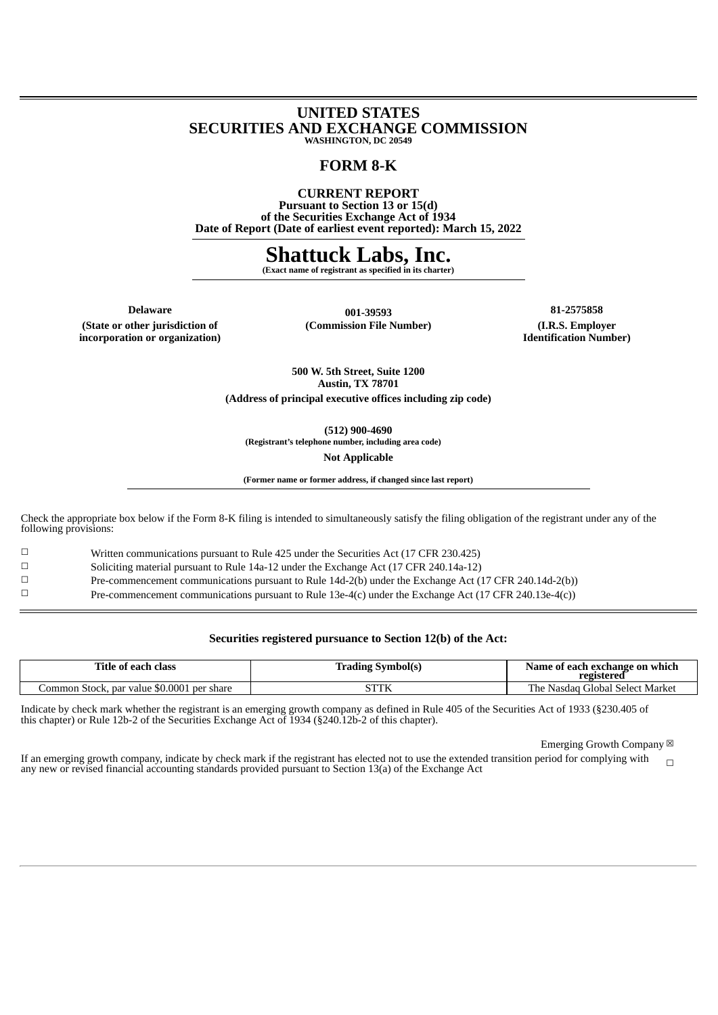#### **UNITED STATES SECURITIES AND EXCHANGE COMMISSION WASHINGTON, DC 20549**

## **FORM 8-K**

**CURRENT REPORT Pursuant to Section 13 or 15(d) of the Securities Exchange Act of 1934 Date of Report (Date of earliest event reported): March 15, 2022**

## **Shattuck Labs, Inc.**

**(Exact name of registrant as specified in its charter)**

**(State or other jurisdiction of**

**incorporation or organization)**

**Delaware 001-39593 81-2575858 (Commission File Number) (I.R.S. Employer**

**Identification Number)**

**500 W. 5th Street, Suite 1200 Austin, TX 78701 (Address of principal executive offices including zip code)**

**(512) 900-4690 (Registrant's telephone number, including area code)**

**Not Applicable**

**(Former name or former address, if changed since last report)**

Check the appropriate box below if the Form 8-K filing is intended to simultaneously satisfy the filing obligation of the registrant under any of the following provisions:

☐ Written communications pursuant to Rule 425 under the Securities Act (17 CFR 230.425)

☐ Soliciting material pursuant to Rule 14a-12 under the Exchange Act (17 CFR 240.14a-12)

☐ Pre-commencement communications pursuant to Rule 14d-2(b) under the Exchange Act (17 CFR 240.14d-2(b))

☐ Pre-commencement communications pursuant to Rule 13e-4(c) under the Exchange Act (17 CFR 240.13e-4(c))

#### **Securities registered pursuance to Section 12(b) of the Act:**

| Title of each class                                   | lrading Symbol(s) | Name of each exchange on which<br>registered   |  |  |  |  |
|-------------------------------------------------------|-------------------|------------------------------------------------|--|--|--|--|
| par value $$0.0001$<br>Common Stock, r<br>. per share | STTK              | l Select Market<br>ı he.<br>Nasdag<br>Global : |  |  |  |  |

Indicate by check mark whether the registrant is an emerging growth company as defined in Rule 405 of the Securities Act of 1933 (§230.405 of this chapter) or Rule 12b-2 of the Securities Exchange Act of 1934 (§240.12b-2 of this chapter).

Emerging Growth Company  $\boxtimes$ 

If an emerging growth company, indicate by check mark if the registrant has elected not to use the extended transition period for complying with any new or revised financial accounting standards provided pursuant to Section 13(a) of the Exchange Act  $\Box$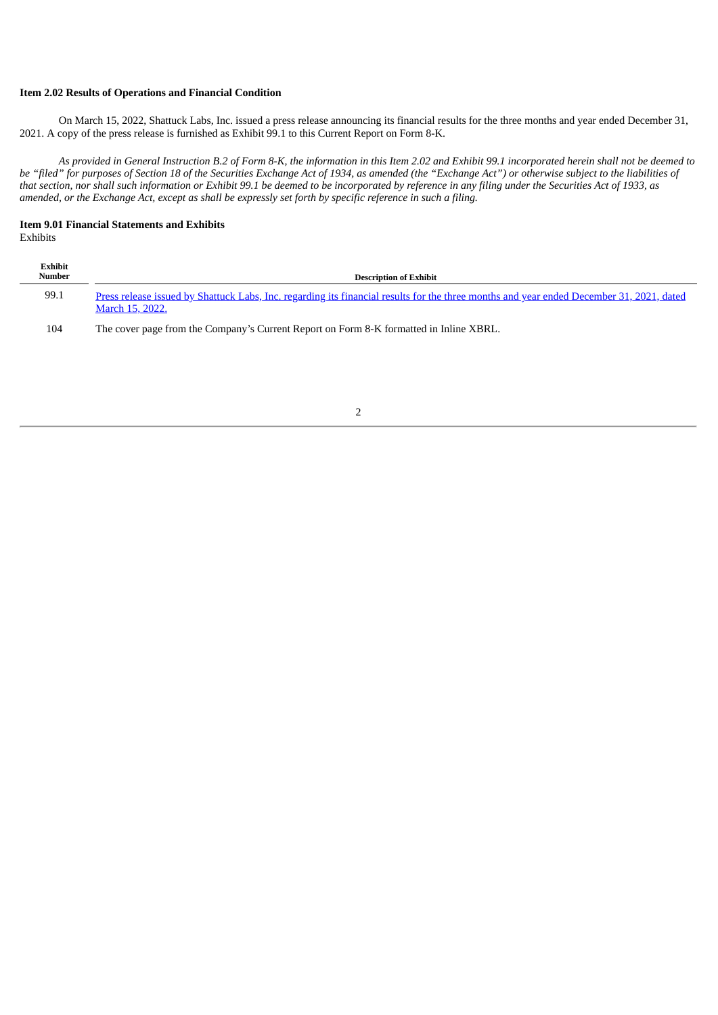## **Item 2.02 Results of Operations and Financial Condition**

On March 15, 2022, Shattuck Labs, Inc. issued a press release announcing its financial results for the three months and year ended December 31, 2021. A copy of the press release is furnished as Exhibit 99.1 to this Current Report on Form 8-K.

As provided in General Instruction B.2 of Form 8-K, the information in this Item 2.02 and Exhibit 99.1 incorporated herein shall not be deemed to be "filed" for purposes of Section 18 of the Securities Exchange Act of 1934, as amended (the "Exchange Act") or otherwise subject to the liabilities of that section, nor shall such information or Exhibit 99.1 be deemed to be incorporated by reference in any filing under the Securities Act of 1933, as amended, or the Exchange Act, except as shall be expressly set forth by specific reference in such a filing.

# **Item 9.01 Financial Statements and Exhibits**

| Exhibits |
|----------|
|----------|

| Exhibit<br>Number | <b>Description of Exhibit</b>                                                                                                                                      |
|-------------------|--------------------------------------------------------------------------------------------------------------------------------------------------------------------|
| 99.1              | Press release issued by Shattuck Labs, Inc. regarding its financial results for the three months and year ended December 31, 2021, dated<br><b>March 15, 2022.</b> |
| 104               | The cover page from the Company's Current Report on Form 8-K formatted in Inline XBRL.                                                                             |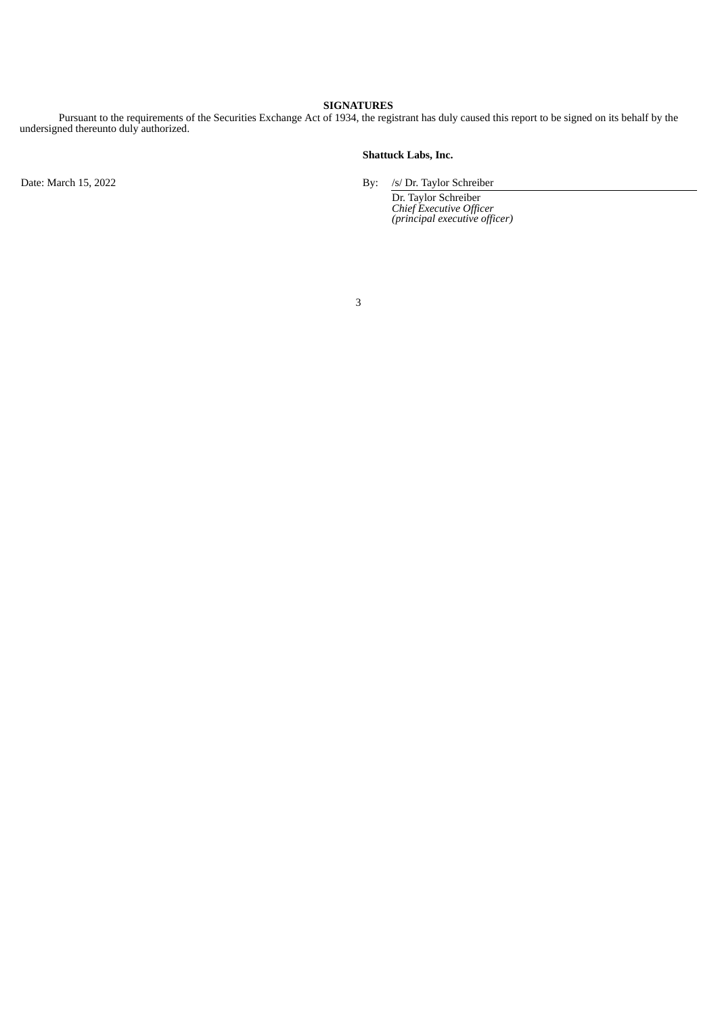## **SIGNATURES**

Pursuant to the requirements of the Securities Exchange Act of 1934, the registrant has duly caused this report to be signed on its behalf by the undersigned thereunto duly authorized.

#### **Shattuck Labs, Inc.**

Date: March 15, 2022 By: /s/ Dr. Taylor Schreiber

Dr. Taylor Schreiber *Chief Executive Officer (principal executive officer)*

3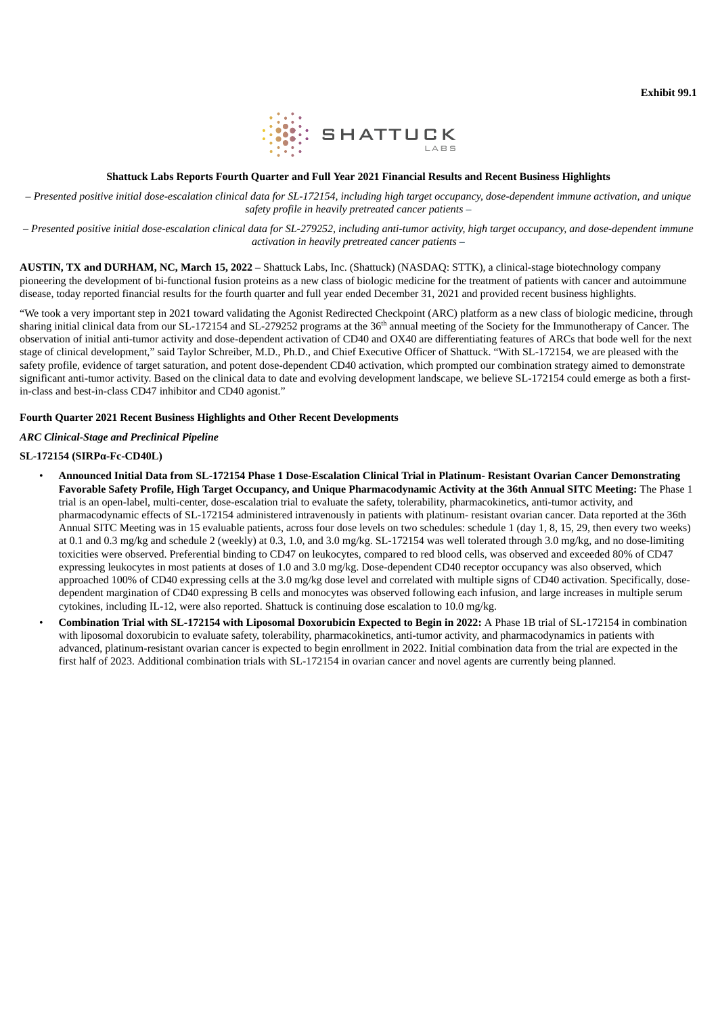

#### **Shattuck Labs Reports Fourth Quarter and Full Year 2021 Financial Results and Recent Business Highlights**

<span id="page-3-0"></span>- Presented positive initial dose-escalation clinical data for SL-172154, including high target occupancy, dose-dependent immune activation, and unique *safety profile in heavily pretreated cancer patients –*

- Presented positive initial dose-escalation clinical data for SL-279252, including anti-tumor activity, high target occupancy, and dose-dependent immune *activation in heavily pretreated cancer patients –*

**AUSTIN, TX and DURHAM, NC, March 15, 2022** – Shattuck Labs, Inc. (Shattuck) (NASDAQ: STTK), a clinical-stage biotechnology company pioneering the development of bi-functional fusion proteins as a new class of biologic medicine for the treatment of patients with cancer and autoimmune disease, today reported financial results for the fourth quarter and full year ended December 31, 2021 and provided recent business highlights.

"We took a very important step in 2021 toward validating the Agonist Redirected Checkpoint (ARC) platform as a new class of biologic medicine, through sharing initial clinical data from our SL-172154 and SL-279252 programs at the 36<sup>th</sup> annual meeting of the Society for the Immunotherapy of Cancer. The observation of initial anti-tumor activity and dose-dependent activation of CD40 and OX40 are differentiating features of ARCs that bode well for the next stage of clinical development," said Taylor Schreiber, M.D., Ph.D., and Chief Executive Officer of Shattuck. "With SL-172154, we are pleased with the safety profile, evidence of target saturation, and potent dose-dependent CD40 activation, which prompted our combination strategy aimed to demonstrate significant anti-tumor activity. Based on the clinical data to date and evolving development landscape, we believe SL-172154 could emerge as both a firstin-class and best-in-class CD47 inhibitor and CD40 agonist."

#### **Fourth Quarter 2021 Recent Business Highlights and Other Recent Developments**

#### *ARC Clinical-Stage and Preclinical Pipeline*

#### **SL-172154 (SIRPα-Fc-CD40L)**

- Announced Initial Data from SL-172154 Phase 1 Dose-Escalation Clinical Trial in Platinum- Resistant Ovarian Cancer Demonstrating Favorable Safety Profile, High Target Occupancy, and Unique Pharmacodynamic Activity at the 36th Annual SITC Meeting: The Phase 1 trial is an open-label, multi-center, dose-escalation trial to evaluate the safety, tolerability, pharmacokinetics, anti-tumor activity, and pharmacodynamic effects of SL-172154 administered intravenously in patients with platinum- resistant ovarian cancer. Data reported at the 36th Annual SITC Meeting was in 15 evaluable patients, across four dose levels on two schedules: schedule 1 (day 1, 8, 15, 29, then every two weeks) at 0.1 and 0.3 mg/kg and schedule 2 (weekly) at 0.3, 1.0, and 3.0 mg/kg. SL-172154 was well tolerated through 3.0 mg/kg, and no dose-limiting toxicities were observed. Preferential binding to CD47 on leukocytes, compared to red blood cells, was observed and exceeded 80% of CD47 expressing leukocytes in most patients at doses of 1.0 and 3.0 mg/kg. Dose-dependent CD40 receptor occupancy was also observed, which approached 100% of CD40 expressing cells at the 3.0 mg/kg dose level and correlated with multiple signs of CD40 activation. Specifically, dosedependent margination of CD40 expressing B cells and monocytes was observed following each infusion, and large increases in multiple serum cytokines, including IL-12, were also reported. Shattuck is continuing dose escalation to 10.0 mg/kg.
- **Combination Trial with SL-172154 with Liposomal Doxorubicin Expected to Begin in 2022:** A Phase 1B trial of SL-172154 in combination with liposomal doxorubicin to evaluate safety, tolerability, pharmacokinetics, anti-tumor activity, and pharmacodynamics in patients with advanced, platinum-resistant ovarian cancer is expected to begin enrollment in 2022. Initial combination data from the trial are expected in the first half of 2023. Additional combination trials with SL-172154 in ovarian cancer and novel agents are currently being planned.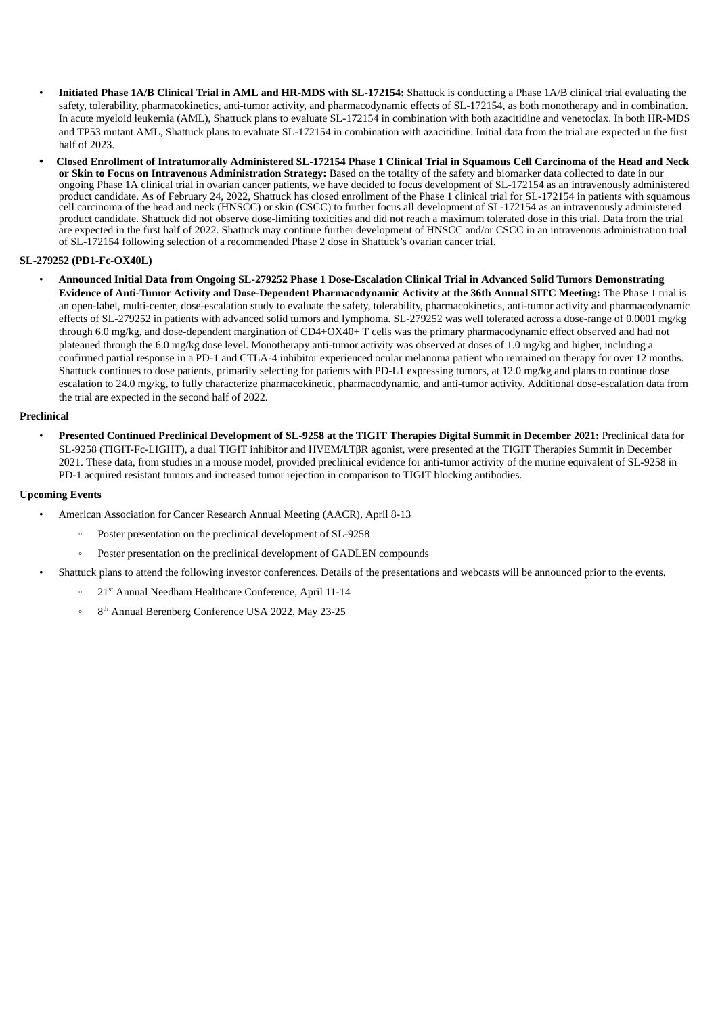- **Initiated Phase 1A/B Clinical Trial in AML and HR-MDS with SL-172154:** Shattuck is conducting a Phase 1A/B clinical trial evaluating the safety, tolerability, pharmacokinetics, anti-tumor activity, and pharmacodynamic effects of SL-172154, as both monotherapy and in combination. In acute myeloid leukemia (AML), Shattuck plans to evaluate SL-172154 in combination with both azacitidine and venetoclax. In both HR-MDS and TP53 mutant AML, Shattuck plans to evaluate SL-172154 in combination with azacitidine. Initial data from the trial are expected in the first half of 2023.
- Closed Enrollment of Intratumorally Administered SL-172154 Phase 1 Clinical Trial in Squamous Cell Carcinoma of the Head and Neck **or Skin to Focus on Intravenous Administration Strategy:** Based on the totality of the safety and biomarker data collected to date in our ongoing Phase 1A clinical trial in ovarian cancer patients, we have decided to focus development of SL-172154 as an intravenously administered product candidate. As of February 24, 2022, Shattuck has closed enrollment of the Phase 1 clinical trial for SL-172154 in patients with squamous cell carcinoma of the head and neck (HNSCC) or skin (CSCC) to further focus all development of SL-172154 as an intravenously administered product candidate. Shattuck did not observe dose-limiting toxicities and did not reach a maximum tolerated dose in this trial. Data from the trial are expected in the first half of 2022. Shattuck may continue further development of HNSCC and/or CSCC in an intravenous administration trial of SL-172154 following selection of a recommended Phase 2 dose in Shattuck's ovarian cancer trial.

#### **SL-279252 (PD1-Fc-OX40L)**

Announced Initial Data from Ongoing SL-279252 Phase 1 Dose-Escalation Clinical Trial in Advanced Solid Tumors Demonstrating Evidence of Anti-Tumor Activity and Dose-Dependent Pharmacodynamic Activity at the 36th Annual SITC Meeting: The Phase 1 trial is an open-label, multi-center, dose-escalation study to evaluate the safety, tolerability, pharmacokinetics, anti-tumor activity and pharmacodynamic effects of SL-279252 in patients with advanced solid tumors and lymphoma. SL-279252 was well tolerated across a dose-range of 0.0001 mg/kg through 6.0 mg/kg, and dose-dependent margination of CD4+OX40+ T cells was the primary pharmacodynamic effect observed and had not plateaued through the 6.0 mg/kg dose level. Monotherapy anti-tumor activity was observed at doses of 1.0 mg/kg and higher, including a confirmed partial response in a PD-1 and CTLA-4 inhibitor experienced ocular melanoma patient who remained on therapy for over 12 months. Shattuck continues to dose patients, primarily selecting for patients with PD-L1 expressing tumors, at 12.0 mg/kg and plans to continue dose escalation to 24.0 mg/kg, to fully characterize pharmacokinetic, pharmacodynamic, and anti-tumor activity. Additional dose-escalation data from the trial are expected in the second half of 2022.

#### **Preclinical**

Presented Continued Preclinical Development of SL-9258 at the TIGIT Therapies Digital Summit in December 2021: Preclinical data for SL-9258 (TIGIT-Fc-LIGHT), a dual TIGIT inhibitor and HVEM/LTβR agonist, were presented at the TIGIT Therapies Summit in December 2021. These data, from studies in a mouse model, provided preclinical evidence for anti-tumor activity of the murine equivalent of SL-9258 in PD-1 acquired resistant tumors and increased tumor rejection in comparison to TIGIT blocking antibodies.

### **Upcoming Events**

- American Association for Cancer Research Annual Meeting (AACR), April 8-13
	- Poster presentation on the preclinical development of SL-9258
	- Poster presentation on the preclinical development of GADLEN compounds
- Shattuck plans to attend the following investor conferences. Details of the presentations and webcasts will be announced prior to the events.
	- ∘ 21<sup>st</sup> Annual Needham Healthcare Conference, April 11-14
	- ∘ 8<sup>th</sup> Annual Berenberg Conference USA 2022, May 23-25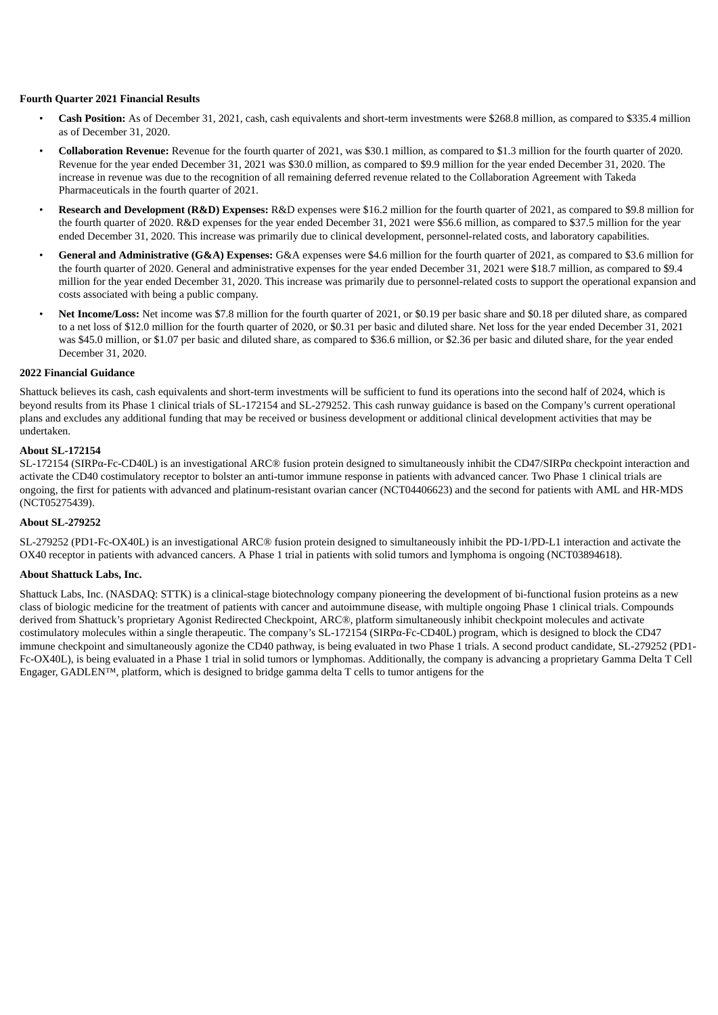#### **Fourth Quarter 2021 Financial Results**

- **Cash Position:** As of December 31, 2021, cash, cash equivalents and short-term investments were \$268.8 million, as compared to \$335.4 million as of December 31, 2020.
- **Collaboration Revenue:** Revenue for the fourth quarter of 2021, was \$30.1 million, as compared to \$1.3 million for the fourth quarter of 2020. Revenue for the year ended December 31, 2021 was \$30.0 million, as compared to \$9.9 million for the year ended December 31, 2020. The increase in revenue was due to the recognition of all remaining deferred revenue related to the Collaboration Agreement with Takeda Pharmaceuticals in the fourth quarter of 2021.
- **Research and Development (R&D) Expenses:** R&D expenses were \$16.2 million for the fourth quarter of 2021, as compared to \$9.8 million for the fourth quarter of 2020. R&D expenses for the year ended December 31, 2021 were \$56.6 million, as compared to \$37.5 million for the year ended December 31, 2020. This increase was primarily due to clinical development, personnel-related costs, and laboratory capabilities.
- **General and Administrative (G&A) Expenses:** G&A expenses were \$4.6 million for the fourth quarter of 2021, as compared to \$3.6 million for the fourth quarter of 2020. General and administrative expenses for the year ended December 31, 2021 were \$18.7 million, as compared to \$9.4 million for the year ended December 31, 2020. This increase was primarily due to personnel-related costs to support the operational expansion and costs associated with being a public company.
- **Net Income/Loss:** Net income was \$7.8 million for the fourth quarter of 2021, or \$0.19 per basic share and \$0.18 per diluted share, as compared to a net loss of \$12.0 million for the fourth quarter of 2020, or \$0.31 per basic and diluted share. Net loss for the year ended December 31, 2021 was \$45.0 million, or \$1.07 per basic and diluted share, as compared to \$36.6 million, or \$2.36 per basic and diluted share, for the year ended December 31, 2020.

#### **2022 Financial Guidance**

Shattuck believes its cash, cash equivalents and short-term investments will be sufficient to fund its operations into the second half of 2024, which is beyond results from its Phase 1 clinical trials of SL-172154 and SL-279252. This cash runway guidance is based on the Company's current operational plans and excludes any additional funding that may be received or business development or additional clinical development activities that may be undertaken.

#### **About SL-172154**

SL-172154 (SIRPα-Fc-CD40L) is an investigational ARC® fusion protein designed to simultaneously inhibit the CD47/SIRPα checkpoint interaction and activate the CD40 costimulatory receptor to bolster an anti-tumor immune response in patients with advanced cancer. Two Phase 1 clinical trials are ongoing, the first for patients with advanced and platinum-resistant ovarian cancer (NCT04406623) and the second for patients with AML and HR-MDS (NCT05275439).

#### **About SL-279252**

SL-279252 (PD1-Fc-OX40L) is an investigational ARC® fusion protein designed to simultaneously inhibit the PD-1/PD-L1 interaction and activate the OX40 receptor in patients with advanced cancers. A Phase 1 trial in patients with solid tumors and lymphoma is ongoing (NCT03894618).

#### **About Shattuck Labs, Inc.**

Shattuck Labs, Inc. (NASDAQ: STTK) is a clinical-stage biotechnology company pioneering the development of bi-functional fusion proteins as a new class of biologic medicine for the treatment of patients with cancer and autoimmune disease, with multiple ongoing Phase 1 clinical trials. Compounds derived from Shattuck's proprietary Agonist Redirected Checkpoint, ARC®, platform simultaneously inhibit checkpoint molecules and activate costimulatory molecules within a single therapeutic. The company's SL-172154 (SIRPα-Fc-CD40L) program, which is designed to block the CD47 immune checkpoint and simultaneously agonize the CD40 pathway, is being evaluated in two Phase 1 trials. A second product candidate, SL-279252 (PD1- Fc-OX40L), is being evaluated in a Phase 1 trial in solid tumors or lymphomas. Additionally, the company is advancing a proprietary Gamma Delta T Cell Engager, GADLEN™, platform, which is designed to bridge gamma delta T cells to tumor antigens for the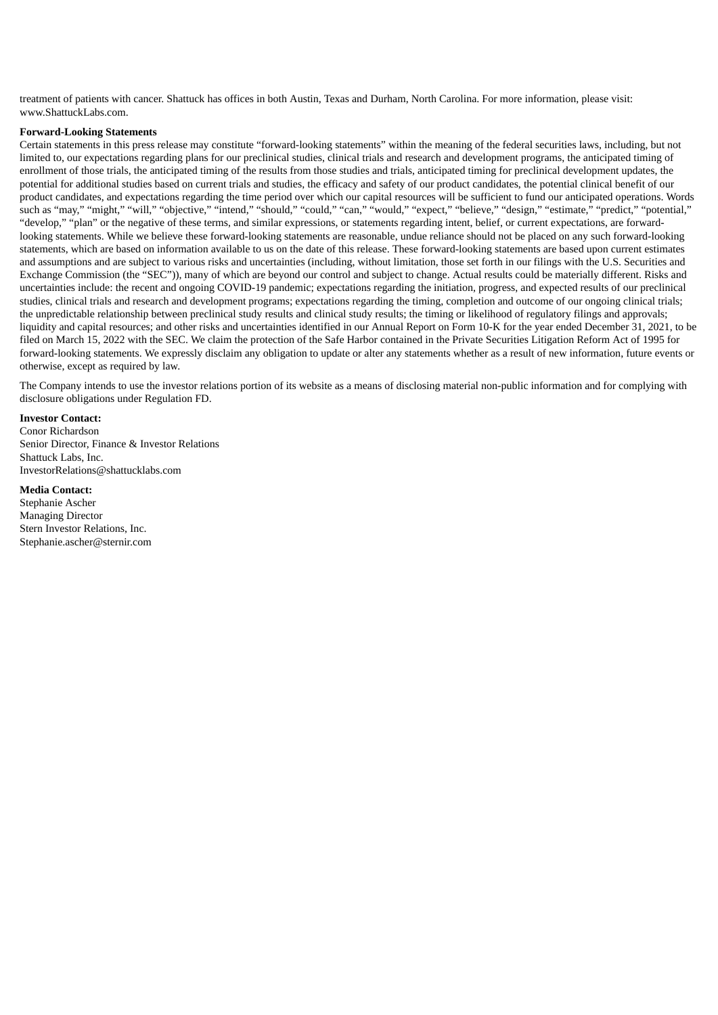treatment of patients with cancer. Shattuck has offices in both Austin, Texas and Durham, North Carolina. For more information, please visit: www.ShattuckLabs.com.

#### **Forward-Looking Statements**

Certain statements in this press release may constitute "forward-looking statements" within the meaning of the federal securities laws, including, but not limited to, our expectations regarding plans for our preclinical studies, clinical trials and research and development programs, the anticipated timing of enrollment of those trials, the anticipated timing of the results from those studies and trials, anticipated timing for preclinical development updates, the potential for additional studies based on current trials and studies, the efficacy and safety of our product candidates, the potential clinical benefit of our product candidates, and expectations regarding the time period over which our capital resources will be sufficient to fund our anticipated operations. Words such as "may," "might," "will," "objective," "intend," "should," "could," "can," "would," "expect," "believe," "design," "estimate," "predict," "potential," "develop," "plan" or the negative of these terms, and similar expressions, or statements regarding intent, belief, or current expectations, are forwardlooking statements. While we believe these forward-looking statements are reasonable, undue reliance should not be placed on any such forward-looking statements, which are based on information available to us on the date of this release. These forward-looking statements are based upon current estimates and assumptions and are subject to various risks and uncertainties (including, without limitation, those set forth in our filings with the U.S. Securities and Exchange Commission (the "SEC")), many of which are beyond our control and subject to change. Actual results could be materially different. Risks and uncertainties include: the recent and ongoing COVID-19 pandemic; expectations regarding the initiation, progress, and expected results of our preclinical studies, clinical trials and research and development programs; expectations regarding the timing, completion and outcome of our ongoing clinical trials; the unpredictable relationship between preclinical study results and clinical study results; the timing or likelihood of regulatory filings and approvals; liquidity and capital resources; and other risks and uncertainties identified in our Annual Report on Form 10-K for the year ended December 31, 2021, to be filed on March 15, 2022 with the SEC. We claim the protection of the Safe Harbor contained in the Private Securities Litigation Reform Act of 1995 for forward-looking statements. We expressly disclaim any obligation to update or alter any statements whether as a result of new information, future events or otherwise, except as required by law.

The Company intends to use the investor relations portion of its website as a means of disclosing material non-public information and for complying with disclosure obligations under Regulation FD.

#### **Investor Contact:**

Conor Richardson Senior Director, Finance & Investor Relations Shattuck Labs, Inc. InvestorRelations@shattucklabs.com

#### **Media Contact:**

Stephanie Ascher Managing Director Stern Investor Relations, Inc. Stephanie.ascher@sternir.com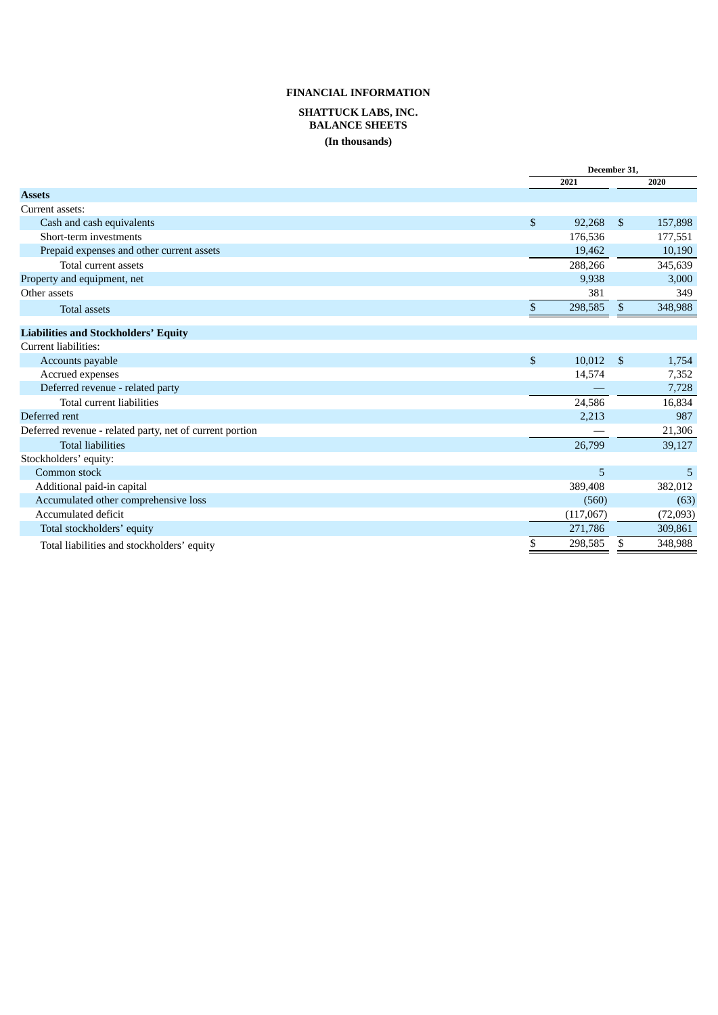## **FINANCIAL INFORMATION SHATTUCK LABS, INC. BALANCE SHEETS (In thousands)**

|                                                          |                           | December 31, |                |          |
|----------------------------------------------------------|---------------------------|--------------|----------------|----------|
|                                                          |                           | 2021         |                | 2020     |
| <b>Assets</b>                                            |                           |              |                |          |
| Current assets:                                          |                           |              |                |          |
| Cash and cash equivalents                                | $\boldsymbol{\mathsf{S}}$ | 92,268       | \$             | 157,898  |
| Short-term investments                                   |                           | 176,536      |                | 177,551  |
| Prepaid expenses and other current assets                |                           | 19,462       |                | 10,190   |
| Total current assets                                     |                           | 288,266      |                | 345,639  |
| Property and equipment, net                              |                           | 9,938        |                | 3,000    |
| Other assets                                             |                           | 381          |                | 349      |
| <b>Total assets</b>                                      | \$                        | 298,585      | \$             | 348,988  |
| <b>Liabilities and Stockholders' Equity</b>              |                           |              |                |          |
| Current liabilities:                                     |                           |              |                |          |
| Accounts payable                                         | $\mathfrak{S}$            | 10,012       | $\mathfrak{L}$ | 1,754    |
| Accrued expenses                                         |                           | 14,574       |                | 7,352    |
| Deferred revenue - related party                         |                           |              |                | 7,728    |
| Total current liabilities                                |                           | 24,586       |                | 16,834   |
| Deferred rent                                            |                           | 2,213        |                | 987      |
| Deferred revenue - related party, net of current portion |                           |              |                | 21,306   |
| <b>Total liabilities</b>                                 |                           | 26,799       |                | 39,127   |
| Stockholders' equity:                                    |                           |              |                |          |
| Common stock                                             |                           | 5            |                | 5        |
| Additional paid-in capital                               |                           | 389,408      |                | 382,012  |
| Accumulated other comprehensive loss                     |                           | (560)        |                | (63)     |
| Accumulated deficit                                      |                           | (117,067)    |                | (72,093) |
| Total stockholders' equity                               |                           | 271,786      |                | 309,861  |
| Total liabilities and stockholders' equity               | \$                        | 298,585      | \$             | 348,988  |